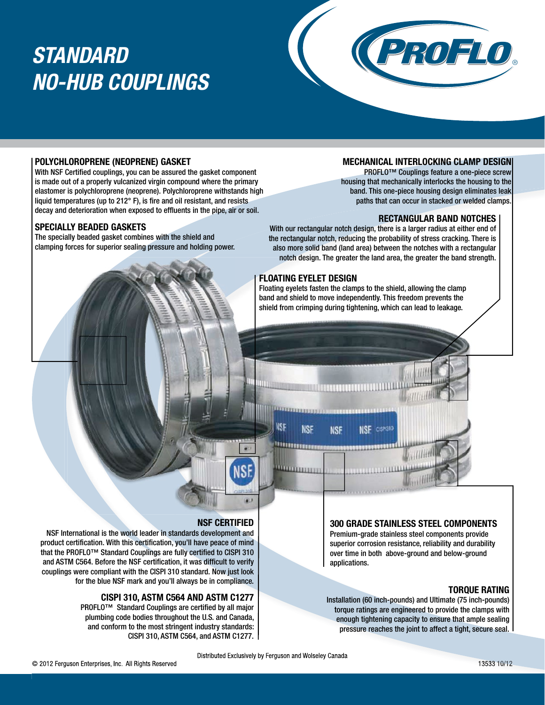# *STANDARD NO-HUB COUPLINGS*



### **POLYCHLOROPRENE (NEOPRENE) GASKET**

With NSF Certified couplings, you can be assured the gasket component is made out of a properly vulcanized virgin compound where the primary elastomer is polychloroprene (neoprene). Polychloroprene withstands high liquid temperatures (up to 212° F), is fire and oil resistant, and resists decay and deterioration when exposed to effluents in the pipe, air or soil.

#### **SPECIALLY BEADED GASKETS**

The specially beaded gasket combines with the shield and clamping forces for superior sealing pressure and holding power.

### **MECHANICAL INTERLOCKING CLAMP DESIGN**

PROFLO™ Couplings feature a one-piece screw housing that mechanically interlocks the housing to the band. This one-piece housing design eliminates leak paths that can occur in stacked or welded clamps.

#### **RECTANGULAR BAND NOTCHES**

With our rectangular notch design, there is a larger radius at either end of the rectangular notch, reducing the probability of stress cracking. There is also more solid band (land area) between the notches with a rectangular notch design. The greater the land area, the greater the band strength.

#### **FLOATING EYELET DESIGN**

Floating eyelets fasten the clamps to the shield, allowing the clamp band and shield to move independently. This freedom prevents the shield from crimping during tightening, which can lead to leakage.

NSF CISPI310



### **300 GRADE STAINLESS STEEL COMPONENTS**

Premium-grade stainless steel components provide superior corrosion resistance, reliability and durability over time in both above-ground and below-ground applications.

#### **TORQUE RATING**

Installation (60 inch-pounds) and Ultimate (75 inch-pounds) torque ratings are engineered to provide the clamps with enough tightening capacity to ensure that ample sealing pressure reaches the joint to affect a tight, secure seal.

### **NSF CERTIFIED**

NSF International is the world leader in standards development and product certification. With this certification, you'll have peace of mind that the PROFLO™ Standard Couplings are fully certified to CISPI 310 and ASTM C564. Before the NSF certification, it was difficult to verify couplings were compliant with the CISPI 310 standard. Now just look for the blue NSF mark and you'll always be in compliance.

### **CISPI 310, ASTM C564 AND ASTM C1277**

PROFLO™ Standard Couplings are certified by all major plumbing code bodies throughout the U.S. and Canada, and conform to the most stringent industry standards: CISPI 310, ASTM C564, and ASTM C1277. **NSF** 

**NSF** 

'''''''''''''''''

**NSF**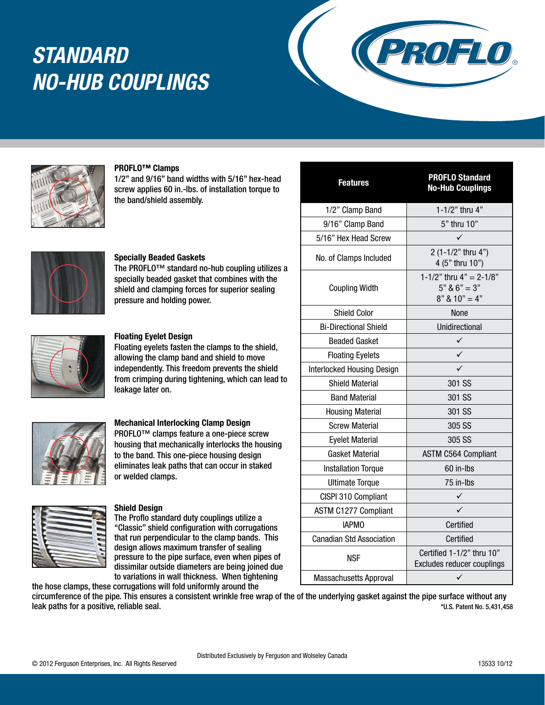# *STANDARD NO-HUB COUPLINGS*





#### **PROFLO™ Clamps**

1/2" and 9/16" band widths with 5/16" hex-head screw applies 60 in.-lbs. of installation torque to the band/shield assembly.



#### **Specially Beaded Gaskets**

The PROFLO™ standard no-hub coupling utilizes a specially beaded gasket that combines with the shield and clamping forces for superior sealing pressure and holding power.



#### **Floating Eyelet Design**

Floating eyelets fasten the clamps to the shield, allowing the clamp band and shield to move independently. This freedom prevents the shield from crimping during tightening, which can lead to leakage later on.



#### **Mechanical Interlocking Clamp Design**

PROFLO™ clamps feature a one-piece screw housing that mechanically interlocks the housing to the band. This one-piece housing design eliminates leak paths that can occur in staked or welded clamps.

#### **Shield Design**

The Proflo standard duty couplings utilize a "Classic" shield configuration with corrugations that run perpendicular to the clamp bands. This design allows maximum transfer of sealing pressure to the pipe surface, even when pipes of dissimilar outside diameters are being joined due to variations in wall thickness. When tightening the hose clamps, these corrugations will fold uniformly around the

| <b>Features</b>                   | <b>PROFLO Standard</b><br><b>No-Hub Couplings</b>               |  |  |  |
|-----------------------------------|-----------------------------------------------------------------|--|--|--|
| 1/2" Clamp Band                   | 1-1/2" thru 4"                                                  |  |  |  |
| 9/16" Clamp Band                  | 5" thru 10"                                                     |  |  |  |
| 5/16" Hex Head Screw              |                                                                 |  |  |  |
| No. of Clamps Included            | 2 (1-1/2" thru 4")<br>4 (5" thru 10")                           |  |  |  |
| <b>Coupling Width</b>             | 1-1/2" thru $4" = 2-1/8"$<br>$5" 86" = 3"$<br>$8"$ & $10" = 4"$ |  |  |  |
| <b>Shield Color</b>               | None                                                            |  |  |  |
| <b>Bi-Directional Shield</b>      | <b>Unidirectional</b>                                           |  |  |  |
| <b>Beaded Gasket</b>              | ✓                                                               |  |  |  |
| <b>Floating Eyelets</b>           | ✓                                                               |  |  |  |
| <b>Interlocked Housing Design</b> | ✓                                                               |  |  |  |
| <b>Shield Material</b>            | 301 SS                                                          |  |  |  |
| <b>Band Material</b>              | 301 SS                                                          |  |  |  |
| <b>Housing Material</b>           | 301 SS                                                          |  |  |  |
| <b>Screw Material</b>             | 305 SS                                                          |  |  |  |
| <b>Eyelet Material</b>            | 305 SS                                                          |  |  |  |
| Gasket Material                   | <b>ASTM C564 Compliant</b>                                      |  |  |  |
| <b>Installation Torque</b>        | 60 in-lbs                                                       |  |  |  |
| <b>Ultimate Torque</b>            | 75 in-Ibs                                                       |  |  |  |
| CISPI 310 Compliant               | ✓                                                               |  |  |  |
| <b>ASTM C1277 Compliant</b>       | ✓                                                               |  |  |  |
| <b>IAPMO</b>                      | Certified                                                       |  |  |  |
| <b>Canadian Std Association</b>   | Certified                                                       |  |  |  |
| <b>NSF</b>                        | Certified 1-1/2" thru 10"<br>Excludes reducer couplings         |  |  |  |
| <b>Massachusetts Approval</b>     | $\checkmark$                                                    |  |  |  |

circumference of the pipe. This ensures a consistent wrinkle free wrap of the of the underlying gasket against the pipe surface without any leak paths for a positive, reliable seal. The search of the search of the search of the search of the search of the search of the search of the search of the search of the search of the search of the search of the search o